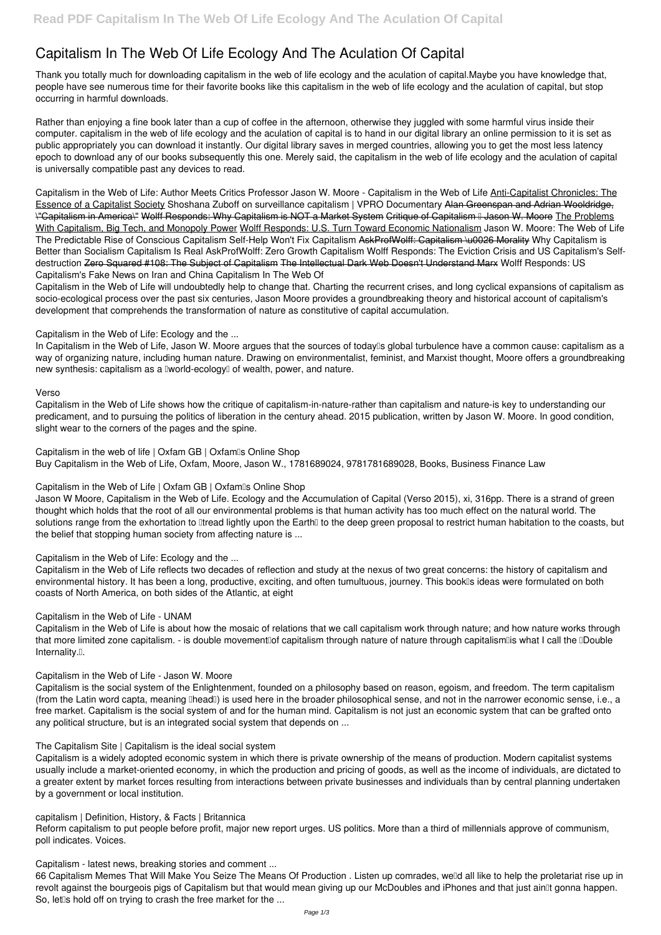# **Capitalism In The Web Of Life Ecology And The Aculation Of Capital**

Thank you totally much for downloading **capitalism in the web of life ecology and the aculation of capital**.Maybe you have knowledge that, people have see numerous time for their favorite books like this capitalism in the web of life ecology and the aculation of capital, but stop occurring in harmful downloads.

Rather than enjoying a fine book later than a cup of coffee in the afternoon, otherwise they juggled with some harmful virus inside their computer. **capitalism in the web of life ecology and the aculation of capital** is to hand in our digital library an online permission to it is set as public appropriately you can download it instantly. Our digital library saves in merged countries, allowing you to get the most less latency epoch to download any of our books subsequently this one. Merely said, the capitalism in the web of life ecology and the aculation of capital is universally compatible past any devices to read.

*Capitalism in the Web of Life: Author Meets Critics Professor Jason W. Moore - Capitalism in the Web of Life* Anti-Capitalist Chronicles: The Essence of a Capitalist Society *Shoshana Zuboff on surveillance capitalism | VPRO Documentary* Alan Greenspan and Adrian Wooldridge, \"Capitalism in America\" Wolff Responds: Why Capitalism is NOT a Market System Critique of Capitalism II Jason W. Moore The Problems With Capitalism, Big Tech, and Monopoly Power Wolff Responds: U.S. Turn Toward Economic Nationalism Jason W. Moore: The Web of Life The Predictable Rise of Conscious Capitalism Self-Help Won't Fix Capitalism AskProfWolff: Capitalism \u0026 Morality *Why Capitalism is Better than Socialism Capitalism Is Real* **AskProfWolff: Zero Growth Capitalism** Wolff Responds: The Eviction Crisis and US Capitalism's Selfdestruction Zero Squared #108: The Subject of Capitalism The Intellectual Dark Web Doesn't Understand Marx **Wolff Responds: US Capitalism's Fake News on Iran and China** *Capitalism In The Web Of*

Capitalism in the Web of Life is about how the mosaic of relations that we call capitalism work through nature; and how nature works through that more limited zone capitalism. - is double movement<sup>of</sup> capitalism through nature of nature through capitalism<sup>ol</sup>is what I call the <sup>0</sup>Double Internality.<sup>[]</sup>.

Capitalism in the Web of Life will undoubtedly help to change that. Charting the recurrent crises, and long cyclical expansions of capitalism as socio-ecological process over the past six centuries, Jason Moore provides a groundbreaking theory and historical account of capitalism's development that comprehends the transformation of nature as constitutive of capital accumulation.

Capitalism is the social system of the Enlightenment, founded on a philosophy based on reason, egoism, and freedom. The term capitalism (from the Latin word capta, meaning [lhead]) is used here in the broader philosophical sense, and not in the narrower economic sense, i.e., a

*Capitalism in the Web of Life: Ecology and the ...*

In Capitalism in the Web of Life, Jason W. Moore argues that the sources of today<sup>®</sup>s global turbulence have a common cause: capitalism as a way of organizing nature, including human nature. Drawing on environmentalist, feminist, and Marxist thought, Moore offers a groundbreaking new synthesis: capitalism as a **Iworld-ecology** of wealth, power, and nature.

#### *Verso*

66 Capitalism Memes That Will Make You Seize The Means Of Production . Listen up comrades, we'd all like to help the proletariat rise up in revolt against the bourgeois pigs of Capitalism but that would mean giving up our McDoubles and iPhones and that just ain<sup>n</sup>t gonna happen. So, let<sup>[</sup>s hold off on trying to crash the free market for the ...

Capitalism in the Web of Life shows how the critique of capitalism-in-nature-rather than capitalism and nature-is key to understanding our predicament, and to pursuing the politics of liberation in the century ahead. 2015 publication, written by Jason W. Moore. In good condition, slight wear to the corners of the pages and the spine.

*Capitalism in the web of life | Oxfam GB | Oxfam's Online Shop* Buy Capitalism in the Web of Life, Oxfam, Moore, Jason W., 1781689024, 9781781689028, Books, Business Finance Law

# *Capitalism in the Web of Life | Oxfam GB | Oxfam's Online Shop*

Jason W Moore, Capitalism in the Web of Life. Ecology and the Accumulation of Capital (Verso 2015), xi, 316pp. There is a strand of green thought which holds that the root of all our environmental problems is that human activity has too much effect on the natural world. The solutions range from the exhortation to Dtread lightly upon the Earth to the deep green proposal to restrict human habitation to the coasts, but the belief that stopping human society from affecting nature is ...

# *Capitalism in the Web of Life: Ecology and the ...*

Capitalism in the Web of Life reflects two decades of reflection and study at the nexus of two great concerns: the history of capitalism and environmental history. It has been a long, productive, exciting, and often tumultuous, journey. This book<sup>''</sup>s ideas were formulated on both coasts of North America, on both sides of the Atlantic, at eight

# *Capitalism in the Web of Life - UNAM*

# *Capitalism in the Web of Life - Jason W. Moore*

free market. Capitalism is the social system of and for the human mind. Capitalism is not just an economic system that can be grafted onto any political structure, but is an integrated social system that depends on ...

#### *The Capitalism Site | Capitalism is the ideal social system*

Capitalism is a widely adopted economic system in which there is private ownership of the means of production. Modern capitalist systems usually include a market-oriented economy, in which the production and pricing of goods, as well as the income of individuals, are dictated to a greater extent by market forces resulting from interactions between private businesses and individuals than by central planning undertaken by a government or local institution.

*capitalism | Definition, History, & Facts | Britannica*

Reform capitalism to put people before profit, major new report urges. US politics. More than a third of millennials approve of communism, poll indicates. Voices.

*Capitalism - latest news, breaking stories and comment ...*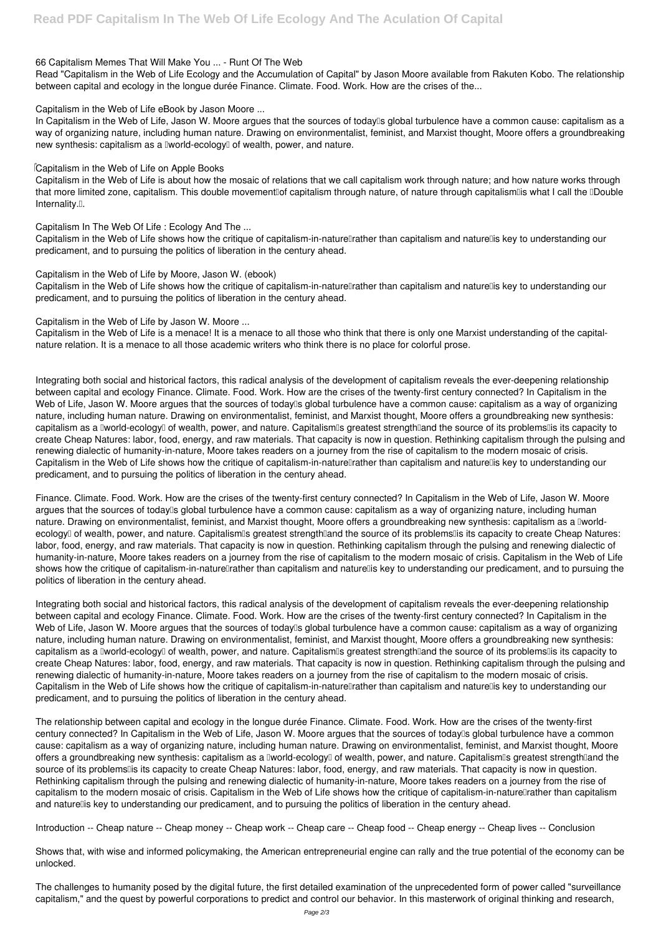#### *66 Capitalism Memes That Will Make You ... - Runt Of The Web*

Read "Capitalism in the Web of Life Ecology and the Accumulation of Capital" by Jason Moore available from Rakuten Kobo. The relationship between capital and ecology in the longue durée Finance. Climate. Food. Work. How are the crises of the...

*Capitalism in the Web of Life eBook by Jason Moore ...*

In Capitalism in the Web of Life, Jason W. Moore argues that the sources of today<sup>®</sup>s global turbulence have a common cause: capitalism as a way of organizing nature, including human nature. Drawing on environmentalist, feminist, and Marxist thought, Moore offers a groundbreaking new synthesis: capitalism as a Iworld-ecology<sup>[]</sup> of wealth, power, and nature.

Capitalism in the Web of Life is about how the mosaic of relations that we call capitalism work through nature; and how nature works through that more limited zone, capitalism. This double movement of capitalism through nature, of nature through capitalism is what I call the Double Internality.<sup>[]</sup>.

Capitalism in the Web of Life shows how the critique of capitalism-in-nature rather than capitalism and nature lis key to understanding our predicament, and to pursuing the politics of liberation in the century ahead.

#### *Capitalism in the Web of Life on Apple Books*

Capitalism in the Web of Life shows how the critique of capitalism-in-nature rather than capitalism and nature lis key to understanding our predicament, and to pursuing the politics of liberation in the century ahead.

*Capitalism In The Web Of Life : Ecology And The ...*

#### *Capitalism in the Web of Life by Moore, Jason W. (ebook)*

*Capitalism in the Web of Life by Jason W. Moore ...*

Capitalism in the Web of Life is a menace! It is a menace to all those who think that there is only one Marxist understanding of the capitalnature relation. It is a menace to all those academic writers who think there is no place for colorful prose.

Integrating both social and historical factors, this radical analysis of the development of capitalism reveals the ever-deepening relationship between capital and ecology Finance. Climate. Food. Work. How are the crises of the twenty-first century connected? In Capitalism in the Web of Life, Jason W. Moore argues that the sources of today<sup>ol</sup>s global turbulence have a common cause: capitalism as a way of organizing nature, including human nature. Drawing on environmentalist, feminist, and Marxist thought, Moore offers a groundbreaking new synthesis: capitalism as a Iworld-ecology of wealth, power, and nature. Capitalism is greatest strength and the source of its problems is its capacity to create Cheap Natures: labor, food, energy, and raw materials. That capacity is now in question. Rethinking capitalism through the pulsing and renewing dialectic of humanity-in-nature, Moore takes readers on a journey from the rise of capitalism to the modern mosaic of crisis. Capitalism in the Web of Life shows how the critique of capitalism-in-nature rather than capitalism and nature lis key to understanding our predicament, and to pursuing the politics of liberation in the century ahead.

The relationship between capital and ecology in the longue durée Finance. Climate. Food. Work. How are the crises of the twenty-first century connected? In Capitalism in the Web of Life, Jason W. Moore argues that the sources of today<sup>ned</sup> and turbulence have a common cause: capitalism as a way of organizing nature, including human nature. Drawing on environmentalist, feminist, and Marxist thought, Moore offers a groundbreaking new synthesis: capitalism as a **Iworld-ecologyI** of wealth, power, and nature. CapitalismIs greatest strengthIand the source of its problems lis its capacity to create Cheap Natures: labor, food, energy, and raw materials. That capacity is now in question. Rethinking capitalism through the pulsing and renewing dialectic of humanity-in-nature, Moore takes readers on a journey from the rise of capitalism to the modern mosaic of crisis. Capitalism in the Web of Life shows how the critique of capitalism-in-naturellather than capitalism and naturellis key to understanding our predicament, and to pursuing the politics of liberation in the century ahead.

Finance. Climate. Food. Work. How are the crises of the twenty-first century connected? In Capitalism in the Web of Life, Jason W. Moore argues that the sources of today<sup>n</sup>s global turbulence have a common cause: capitalism as a way of organizing nature, including human nature. Drawing on environmentalist, feminist, and Marxist thought, Moore offers a groundbreaking new synthesis: capitalism as a Iworldecology<sup>[]</sup> of wealth, power, and nature. Capitalism<sup>[]</sup> greatest strength[]and the source of its problems[] is its capacity to create Cheap Natures: labor, food, energy, and raw materials. That capacity is now in question. Rethinking capitalism through the pulsing and renewing dialectic of humanity-in-nature, Moore takes readers on a journey from the rise of capitalism to the modern mosaic of crisis. Capitalism in the Web of Life shows how the critique of capitalism-in-naturellrather than capitalism and naturellis key to understanding our predicament, and to pursuing the politics of liberation in the century ahead.

Integrating both social and historical factors, this radical analysis of the development of capitalism reveals the ever-deepening relationship between capital and ecology Finance. Climate. Food. Work. How are the crises of the twenty-first century connected? In Capitalism in the Web of Life, Jason W. Moore argues that the sources of today<sup>ol</sup>s global turbulence have a common cause: capitalism as a way of organizing nature, including human nature. Drawing on environmentalist, feminist, and Marxist thought, Moore offers a groundbreaking new synthesis: capitalism as a Iworld-ecologyI of wealth, power, and nature. CapitalismIs greatest strengthIand the source of its problemsIIs its capacity to create Cheap Natures: labor, food, energy, and raw materials. That capacity is now in question. Rethinking capitalism through the pulsing and renewing dialectic of humanity-in-nature, Moore takes readers on a journey from the rise of capitalism to the modern mosaic of crisis. Capitalism in the Web of Life shows how the critique of capitalism-in-nature rather than capitalism and nature lis key to understanding our predicament, and to pursuing the politics of liberation in the century ahead.

Introduction -- Cheap nature -- Cheap money -- Cheap work -- Cheap care -- Cheap food -- Cheap energy -- Cheap lives -- Conclusion

Shows that, with wise and informed policymaking, the American entrepreneurial engine can rally and the true potential of the economy can be unlocked.

The challenges to humanity posed by the digital future, the first detailed examination of the unprecedented form of power called "surveillance capitalism," and the quest by powerful corporations to predict and control our behavior. In this masterwork of original thinking and research,